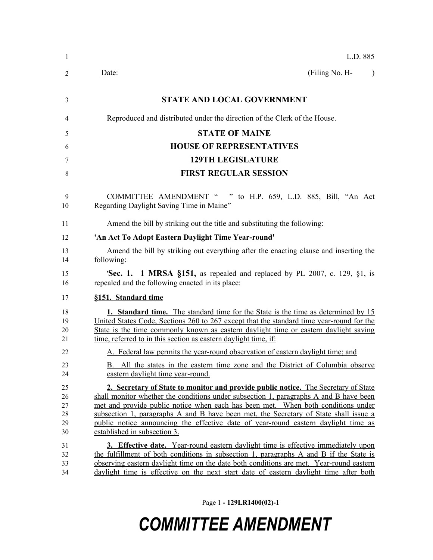| $\mathbf{1}$                     | L.D. 885                                                                                                                                                                                                                                                                                                                                                                                                                                                                      |
|----------------------------------|-------------------------------------------------------------------------------------------------------------------------------------------------------------------------------------------------------------------------------------------------------------------------------------------------------------------------------------------------------------------------------------------------------------------------------------------------------------------------------|
| $\overline{2}$                   | (Filing No. H-<br>Date:<br>$\lambda$                                                                                                                                                                                                                                                                                                                                                                                                                                          |
| 3                                | <b>STATE AND LOCAL GOVERNMENT</b>                                                                                                                                                                                                                                                                                                                                                                                                                                             |
| 4                                | Reproduced and distributed under the direction of the Clerk of the House.                                                                                                                                                                                                                                                                                                                                                                                                     |
| 5                                | <b>STATE OF MAINE</b>                                                                                                                                                                                                                                                                                                                                                                                                                                                         |
| 6                                | <b>HOUSE OF REPRESENTATIVES</b>                                                                                                                                                                                                                                                                                                                                                                                                                                               |
| 7                                | <b>129TH LEGISLATURE</b>                                                                                                                                                                                                                                                                                                                                                                                                                                                      |
| 8                                | <b>FIRST REGULAR SESSION</b>                                                                                                                                                                                                                                                                                                                                                                                                                                                  |
| 9<br>10                          | COMMITTEE AMENDMENT "<br>to H.P. 659, L.D. 885, Bill, "An Act<br>Regarding Daylight Saving Time in Maine"                                                                                                                                                                                                                                                                                                                                                                     |
| 11                               | Amend the bill by striking out the title and substituting the following:                                                                                                                                                                                                                                                                                                                                                                                                      |
| 12                               | 'An Act To Adopt Eastern Daylight Time Year-round'                                                                                                                                                                                                                                                                                                                                                                                                                            |
| 13<br>14                         | Amend the bill by striking out everything after the enacting clause and inserting the<br>following:                                                                                                                                                                                                                                                                                                                                                                           |
| 15<br>16                         | <b>Sec. 1. 1 MRSA §151,</b> as repealed and replaced by PL 2007, c. 129, §1, is<br>repealed and the following enacted in its place:                                                                                                                                                                                                                                                                                                                                           |
| 17                               | §151. Standard time                                                                                                                                                                                                                                                                                                                                                                                                                                                           |
| 18<br>19<br>20<br>21             | <b>1. Standard time.</b> The standard time for the State is the time as determined by 15<br>United States Code, Sections 260 to 267 except that the standard time year-round for the<br>State is the time commonly known as eastern daylight time or eastern daylight saving<br>time, referred to in this section as eastern daylight time, if:                                                                                                                               |
| 22                               | A. Federal law permits the year-round observation of eastern daylight time; and                                                                                                                                                                                                                                                                                                                                                                                               |
| 23<br>24                         | B. All the states in the eastern time zone and the District of Columbia observe<br>eastern daylight time year-round.                                                                                                                                                                                                                                                                                                                                                          |
| 25<br>26<br>27<br>28<br>29<br>30 | 2. Secretary of State to monitor and provide public notice. The Secretary of State<br>shall monitor whether the conditions under subsection 1, paragraphs A and B have been<br>met and provide public notice when each has been met. When both conditions under<br>subsection 1, paragraphs A and B have been met, the Secretary of State shall issue a<br>public notice announcing the effective date of year-round eastern daylight time as<br>established in subsection 3. |
| 31<br>32<br>33<br>34             | <b>3.</b> Effective date. Year-round eastern daylight time is effective immediately upon<br>the fulfillment of both conditions in subsection 1, paragraphs A and B if the State is<br>observing eastern daylight time on the date both conditions are met. Year-round eastern<br>daylight time is effective on the next start date of eastern daylight time after both                                                                                                        |

Page 1 **- 129LR1400(02)-1**

## *COMMITTEE AMENDMENT*